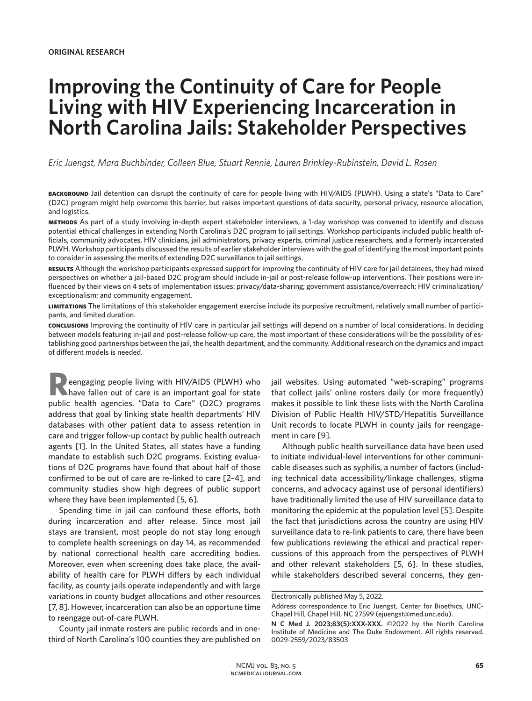# **Improving the Continuity of Care for People Living with HIV Experiencing Incarceration in North Carolina Jails: Stakeholder Perspectives**

*Eric Juengst, Mara Buchbinder, Colleen Blue, Stuart Rennie, Lauren Brinkley-Rubinstein, David L. Rosen*

**background** Jail detention can disrupt the continuity of care for people living with HIV/AIDS (PLWH). Using a state's "Data to Care" (D2C) program might help overcome this barrier, but raises important questions of data security, personal privacy, resource allocation, and logistics.

**methods** As part of a study involving in-depth expert stakeholder interviews, a 1-day workshop was convened to identify and discuss potential ethical challenges in extending North Carolina's D2C program to jail settings. Workshop participants included public health officials, community advocates, HIV clinicians, jail administrators, privacy experts, criminal justice researchers, and a formerly incarcerated PLWH. Workshop participants discussed the results of earlier stakeholder interviews with the goal of identifying the most important points to consider in assessing the merits of extending D2C surveillance to jail settings.

**results** Although the workshop participants expressed support for improving the continuity of HIV care for jail detainees, they had mixed perspectives on whether a jail-based D2C program should include in-jail or post-release follow-up interventions. Their positions were influenced by their views on 4 sets of implementation issues: privacy/data-sharing; government assistance/overreach; HIV criminalization/ exceptionalism; and community engagement.

**limitations** The limitations of this stakeholder engagement exercise include its purposive recruitment, relatively small number of participants, and limited duration.

**conclusions** Improving the continuity of HIV care in particular jail settings will depend on a number of local considerations. In deciding between models featuring in-jail and post-release follow-up care, the most important of these considerations will be the possibility of establishing good partnerships between the jail, the health department, and the community. Additional research on the dynamics and impact of different models is needed.

eengaging people living with HIV/AIDS (PLWH) who have fallen out of care is an important goal for state public health agencies. "Data to Care" (D2C) programs address that goal by linking state health departments' HIV databases with other patient data to assess retention in care and trigger follow-up contact by public health outreach agents [1]. In the United States, all states have a funding mandate to establish such D2C programs. Existing evaluations of D2C programs have found that about half of those confirmed to be out of care are re-linked to care [2–4], and community studies show high degrees of public support where they have been implemented [5, 6].

Spending time in jail can confound these efforts, both during incarceration and after release. Since most jail stays are transient, most people do not stay long enough to complete health screenings on day 14, as recommended by national correctional health care accrediting bodies. Moreover, even when screening does take place, the availability of health care for PLWH differs by each individual facility, as county jails operate independently and with large variations in county budget allocations and other resources [7, 8]. However, incarceration can also be an opportune time to reengage out-of-care PLWH.

County jail inmate rosters are public records and in onethird of North Carolina's 100 counties they are published on jail websites. Using automated "web-scraping" programs that collect jails' online rosters daily (or more frequently) makes it possible to link these lists with the North Carolina Division of Public Health HIV/STD/Hepatitis Surveillance Unit records to locate PLWH in county jails for reengagement in care [9].

Although public health surveillance data have been used to initiate individual-level interventions for other communicable diseases such as syphilis, a number of factors (including technical data accessibility/linkage challenges, stigma concerns, and advocacy against use of personal identifiers) have traditionally limited the use of HIV surveillance data to monitoring the epidemic at the population level [5]. Despite the fact that jurisdictions across the country are using HIV surveillance data to re-link patients to care, there have been few publications reviewing the ethical and practical repercussions of this approach from the perspectives of PLWH and other relevant stakeholders [5, 6]. In these studies, while stakeholders described several concerns, they gen-

Electronically published May 5, 2022.

Address correspondence to Eric Juengst, Center for Bioethics, UNC-Chapel Hill, Chapel Hill, NC 27599 (ejuengst@med.unc.edu).

**N C Med J. 2023;83(5):XXX-XXX.** ©2022 by the North Carolina Institute of Medicine and The Duke Endowment. All rights reserved. 0029-2559/2023/83503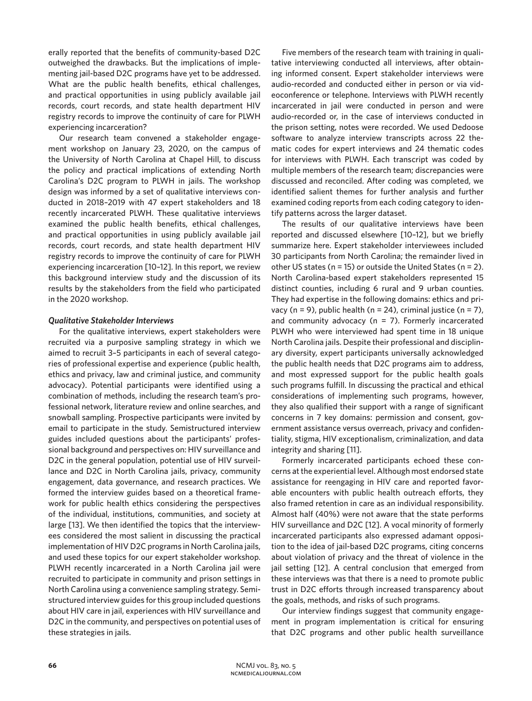erally reported that the benefits of community-based D2C outweighed the drawbacks. But the implications of implementing jail-based D2C programs have yet to be addressed. What are the public health benefits, ethical challenges, and practical opportunities in using publicly available jail records, court records, and state health department HIV registry records to improve the continuity of care for PLWH experiencing incarceration?

Our research team convened a stakeholder engagement workshop on January 23, 2020, on the campus of the University of North Carolina at Chapel Hill, to discuss the policy and practical implications of extending North Carolina's D2C program to PLWH in jails. The workshop design was informed by a set of qualitative interviews conducted in 2018–2019 with 47 expert stakeholders and 18 recently incarcerated PLWH. These qualitative interviews examined the public health benefits, ethical challenges, and practical opportunities in using publicly available jail records, court records, and state health department HIV registry records to improve the continuity of care for PLWH experiencing incarceration [10–12]. In this report, we review this background interview study and the discussion of its results by the stakeholders from the field who participated in the 2020 workshop.

#### *Qualitative Stakeholder Interviews*

For the qualitative interviews, expert stakeholders were recruited via a purposive sampling strategy in which we aimed to recruit 3–5 participants in each of several categories of professional expertise and experience (public health, ethics and privacy, law and criminal justice, and community advocacy). Potential participants were identified using a combination of methods, including the research team's professional network, literature review and online searches, and snowball sampling. Prospective participants were invited by email to participate in the study. Semistructured interview guides included questions about the participants' professional background and perspectives on: HIV surveillance and D2C in the general population, potential use of HIV surveillance and D2C in North Carolina jails, privacy, community engagement, data governance, and research practices. We formed the interview guides based on a theoretical framework for public health ethics considering the perspectives of the individual, institutions, communities, and society at large [13]. We then identified the topics that the interviewees considered the most salient in discussing the practical implementation of HIV D2C programs in North Carolina jails, and used these topics for our expert stakeholder workshop. PLWH recently incarcerated in a North Carolina jail were recruited to participate in community and prison settings in North Carolina using a convenience sampling strategy. Semistructured interview guides for this group included questions about HIV care in jail, experiences with HIV surveillance and D2C in the community, and perspectives on potential uses of these strategies in jails.

Five members of the research team with training in qualitative interviewing conducted all interviews, after obtaining informed consent. Expert stakeholder interviews were audio-recorded and conducted either in person or via videoconference or telephone. Interviews with PLWH recently incarcerated in jail were conducted in person and were audio-recorded or, in the case of interviews conducted in the prison setting, notes were recorded. We used Dedoose software to analyze interview transcripts across 22 thematic codes for expert interviews and 24 thematic codes for interviews with PLWH. Each transcript was coded by multiple members of the research team; discrepancies were discussed and reconciled. After coding was completed, we identified salient themes for further analysis and further examined coding reports from each coding category to identify patterns across the larger dataset.

The results of our qualitative interviews have been reported and discussed elsewhere [10–12], but we briefly summarize here. Expert stakeholder interviewees included 30 participants from North Carolina; the remainder lived in other US states ( $n = 15$ ) or outside the United States ( $n = 2$ ). North Carolina-based expert stakeholders represented 15 distinct counties, including 6 rural and 9 urban counties. They had expertise in the following domains: ethics and privacy (n = 9), public health (n = 24), criminal justice (n = 7), and community advocacy ( $n = 7$ ). Formerly incarcerated PLWH who were interviewed had spent time in 18 unique North Carolina jails. Despite their professional and disciplinary diversity, expert participants universally acknowledged the public health needs that D2C programs aim to address, and most expressed support for the public health goals such programs fulfill. In discussing the practical and ethical considerations of implementing such programs, however, they also qualified their support with a range of significant concerns in 7 key domains: permission and consent, government assistance versus overreach, privacy and confidentiality, stigma, HIV exceptionalism, criminalization, and data integrity and sharing [11].

Formerly incarcerated participants echoed these concerns at the experiential level. Although most endorsed state assistance for reengaging in HIV care and reported favorable encounters with public health outreach efforts, they also framed retention in care as an individual responsibility. Almost half (40%) were not aware that the state performs HIV surveillance and D2C [12]. A vocal minority of formerly incarcerated participants also expressed adamant opposition to the idea of jail-based D2C programs, citing concerns about violation of privacy and the threat of violence in the jail setting [12]. A central conclusion that emerged from these interviews was that there is a need to promote public trust in D2C efforts through increased transparency about the goals, methods, and risks of such programs.

Our interview findings suggest that community engagement in program implementation is critical for ensuring that D2C programs and other public health surveillance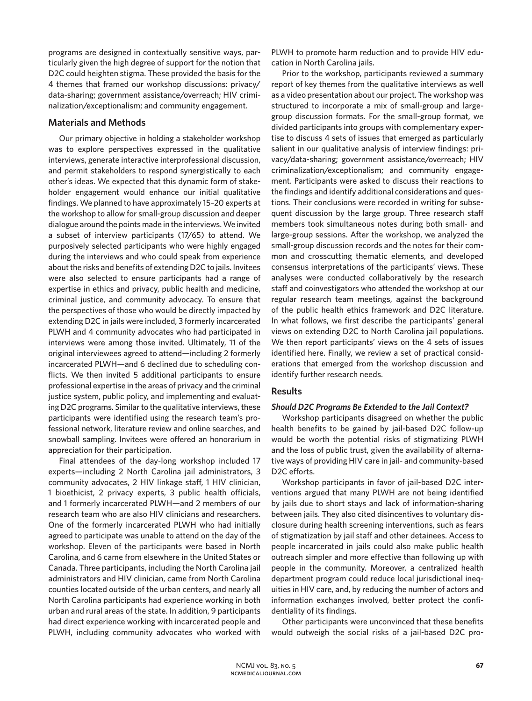programs are designed in contextually sensitive ways, particularly given the high degree of support for the notion that D2C could heighten stigma. These provided the basis for the 4 themes that framed our workshop discussions: privacy/ data-sharing; government assistance/overreach; HIV criminalization/exceptionalism; and community engagement.

## **Materials and Methods**

Our primary objective in holding a stakeholder workshop was to explore perspectives expressed in the qualitative interviews, generate interactive interprofessional discussion, and permit stakeholders to respond synergistically to each other's ideas. We expected that this dynamic form of stakeholder engagement would enhance our initial qualitative findings. We planned to have approximately 15–20 experts at the workshop to allow for small-group discussion and deeper dialogue around the points made in the interviews. We invited a subset of interview participants (17/65) to attend. We purposively selected participants who were highly engaged during the interviews and who could speak from experience about the risks and benefits of extending D2C to jails. Invitees were also selected to ensure participants had a range of expertise in ethics and privacy, public health and medicine, criminal justice, and community advocacy. To ensure that the perspectives of those who would be directly impacted by extending D2C in jails were included, 3 formerly incarcerated PLWH and 4 community advocates who had participated in interviews were among those invited. Ultimately, 11 of the original interviewees agreed to attend—including 2 formerly incarcerated PLWH—and 6 declined due to scheduling conflicts. We then invited 5 additional participants to ensure professional expertise in the areas of privacy and the criminal justice system, public policy, and implementing and evaluating D2C programs. Similar to the qualitative interviews, these participants were identified using the research team's professional network, literature review and online searches, and snowball sampling. Invitees were offered an honorarium in appreciation for their participation.

Final attendees of the day-long workshop included 17 experts—including 2 North Carolina jail administrators, 3 community advocates, 2 HIV linkage staff, 1 HIV clinician, 1 bioethicist, 2 privacy experts, 3 public health officials, and 1 formerly incarcerated PLWH—and 2 members of our research team who are also HIV clinicians and researchers. One of the formerly incarcerated PLWH who had initially agreed to participate was unable to attend on the day of the workshop. Eleven of the participants were based in North Carolina, and 6 came from elsewhere in the United States or Canada. Three participants, including the North Carolina jail administrators and HIV clinician, came from North Carolina counties located outside of the urban centers, and nearly all North Carolina participants had experience working in both urban and rural areas of the state. In addition, 9 participants had direct experience working with incarcerated people and PLWH, including community advocates who worked with PLWH to promote harm reduction and to provide HIV education in North Carolina jails.

Prior to the workshop, participants reviewed a summary report of key themes from the qualitative interviews as well as a video presentation about our project. The workshop was structured to incorporate a mix of small-group and largegroup discussion formats. For the small-group format, we divided participants into groups with complementary expertise to discuss 4 sets of issues that emerged as particularly salient in our qualitative analysis of interview findings: privacy/data-sharing; government assistance/overreach; HIV criminalization/exceptionalism; and community engagement. Participants were asked to discuss their reactions to the findings and identify additional considerations and questions. Their conclusions were recorded in writing for subsequent discussion by the large group. Three research staff members took simultaneous notes during both small- and large-group sessions. After the workshop, we analyzed the small-group discussion records and the notes for their common and crosscutting thematic elements, and developed consensus interpretations of the participants' views. These analyses were conducted collaboratively by the research staff and coinvestigators who attended the workshop at our regular research team meetings, against the background of the public health ethics framework and D2C literature. In what follows, we first describe the participants' general views on extending D2C to North Carolina jail populations. We then report participants' views on the 4 sets of issues identified here. Finally, we review a set of practical considerations that emerged from the workshop discussion and identify further research needs.

### **Results**

#### *Should D2C Programs Be Extended to the Jail Context?*

Workshop participants disagreed on whether the public health benefits to be gained by jail-based D2C follow-up would be worth the potential risks of stigmatizing PLWH and the loss of public trust, given the availability of alternative ways of providing HIV care in jail- and community-based D2C efforts.

Workshop participants in favor of jail-based D2C interventions argued that many PLWH are not being identified by jails due to short stays and lack of information-sharing between jails. They also cited disincentives to voluntary disclosure during health screening interventions, such as fears of stigmatization by jail staff and other detainees. Access to people incarcerated in jails could also make public health outreach simpler and more effective than following up with people in the community. Moreover, a centralized health department program could reduce local jurisdictional inequities in HIV care, and, by reducing the number of actors and information exchanges involved, better protect the confidentiality of its findings.

Other participants were unconvinced that these benefits would outweigh the social risks of a jail-based D2C pro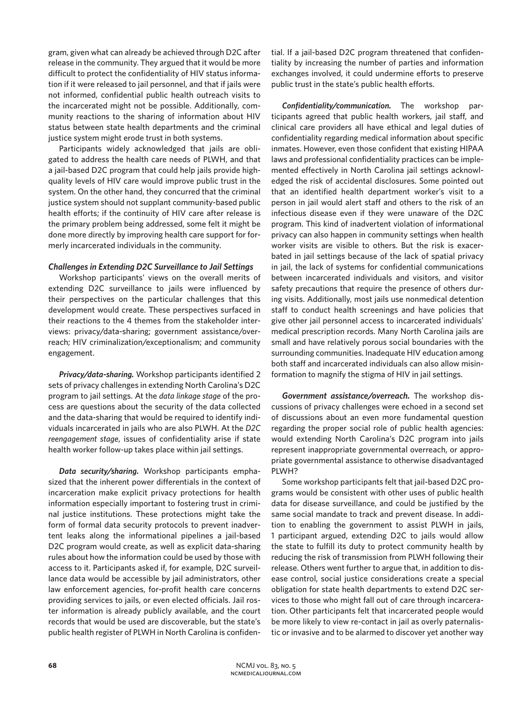gram, given what can already be achieved through D2C after release in the community. They argued that it would be more difficult to protect the confidentiality of HIV status information if it were released to jail personnel, and that if jails were not informed, confidential public health outreach visits to the incarcerated might not be possible. Additionally, community reactions to the sharing of information about HIV status between state health departments and the criminal justice system might erode trust in both systems.

Participants widely acknowledged that jails are obligated to address the health care needs of PLWH, and that a jail-based D2C program that could help jails provide highquality levels of HIV care would improve public trust in the system. On the other hand, they concurred that the criminal justice system should not supplant community-based public health efforts; if the continuity of HIV care after release is the primary problem being addressed, some felt it might be done more directly by improving health care support for formerly incarcerated individuals in the community.

#### *Challenges in Extending D2C Surveillance to Jail Settings*

Workshop participants' views on the overall merits of extending D2C surveillance to jails were influenced by their perspectives on the particular challenges that this development would create. These perspectives surfaced in their reactions to the 4 themes from the stakeholder interviews: privacy/data-sharing; government assistance/overreach; HIV criminalization/exceptionalism; and community engagement.

*Privacy/data-sharing.* Workshop participants identified 2 sets of privacy challenges in extending North Carolina's D2C program to jail settings. At the *data linkage stage* of the process are questions about the security of the data collected and the data-sharing that would be required to identify individuals incarcerated in jails who are also PLWH. At the *D2C reengagement stage*, issues of confidentiality arise if state health worker follow-up takes place within jail settings.

*Data security/sharing.* Workshop participants emphasized that the inherent power differentials in the context of incarceration make explicit privacy protections for health information especially important to fostering trust in criminal justice institutions. These protections might take the form of formal data security protocols to prevent inadvertent leaks along the informational pipelines a jail-based D2C program would create, as well as explicit data-sharing rules about how the information could be used by those with access to it. Participants asked if, for example, D2C surveillance data would be accessible by jail administrators, other law enforcement agencies, for-profit health care concerns providing services to jails, or even elected officials. Jail roster information is already publicly available, and the court records that would be used are discoverable, but the state's public health register of PLWH in North Carolina is confidential. If a jail-based D2C program threatened that confidentiality by increasing the number of parties and information exchanges involved, it could undermine efforts to preserve public trust in the state's public health efforts.

*Confidentiality/communication.* The workshop participants agreed that public health workers, jail staff, and clinical care providers all have ethical and legal duties of confidentiality regarding medical information about specific inmates. However, even those confident that existing HIPAA laws and professional confidentiality practices can be implemented effectively in North Carolina jail settings acknowledged the risk of accidental disclosures. Some pointed out that an identified health department worker's visit to a person in jail would alert staff and others to the risk of an infectious disease even if they were unaware of the D2C program. This kind of inadvertent violation of informational privacy can also happen in community settings when health worker visits are visible to others. But the risk is exacerbated in jail settings because of the lack of spatial privacy in jail, the lack of systems for confidential communications between incarcerated individuals and visitors, and visitor safety precautions that require the presence of others during visits. Additionally, most jails use nonmedical detention staff to conduct health screenings and have policies that give other jail personnel access to incarcerated individuals' medical prescription records. Many North Carolina jails are small and have relatively porous social boundaries with the surrounding communities. Inadequate HIV education among both staff and incarcerated individuals can also allow misinformation to magnify the stigma of HIV in jail settings.

*Government assistance/overreach.* The workshop discussions of privacy challenges were echoed in a second set of discussions about an even more fundamental question regarding the proper social role of public health agencies: would extending North Carolina's D2C program into jails represent inappropriate governmental overreach, or appropriate governmental assistance to otherwise disadvantaged PLWH?

Some workshop participants felt that jail-based D2C programs would be consistent with other uses of public health data for disease surveillance, and could be justified by the same social mandate to track and prevent disease. In addition to enabling the government to assist PLWH in jails, 1 participant argued, extending D2C to jails would allow the state to fulfill its duty to protect community health by reducing the risk of transmission from PLWH following their release. Others went further to argue that, in addition to disease control, social justice considerations create a special obligation for state health departments to extend D2C services to those who might fall out of care through incarceration. Other participants felt that incarcerated people would be more likely to view re-contact in jail as overly paternalistic or invasive and to be alarmed to discover yet another way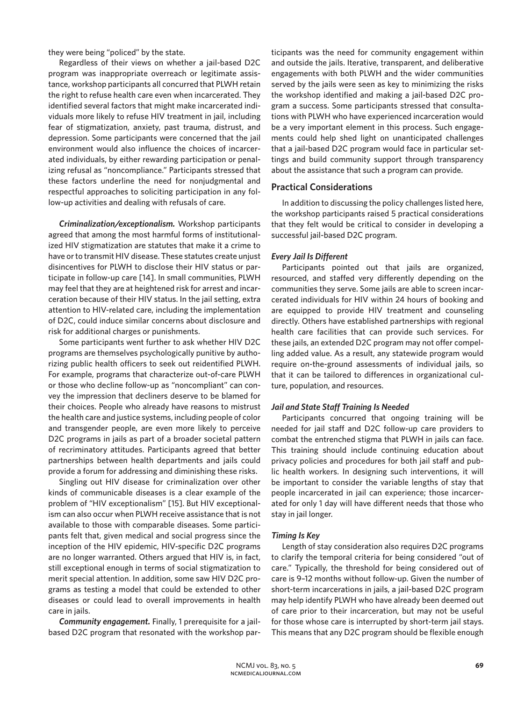they were being "policed" by the state.

Regardless of their views on whether a jail-based D2C program was inappropriate overreach or legitimate assistance, workshop participants all concurred that PLWH retain the right to refuse health care even when incarcerated. They identified several factors that might make incarcerated individuals more likely to refuse HIV treatment in jail, including fear of stigmatization, anxiety, past trauma, distrust, and depression. Some participants were concerned that the jail environment would also influence the choices of incarcerated individuals, by either rewarding participation or penalizing refusal as "noncompliance." Participants stressed that these factors underline the need for nonjudgmental and respectful approaches to soliciting participation in any follow-up activities and dealing with refusals of care.

*Criminalization/exceptionalism.* Workshop participants agreed that among the most harmful forms of institutionalized HIV stigmatization are statutes that make it a crime to have or to transmit HIV disease. These statutes create unjust disincentives for PLWH to disclose their HIV status or participate in follow-up care [14]. In small communities, PLWH may feel that they are at heightened risk for arrest and incarceration because of their HIV status. In the jail setting, extra attention to HIV-related care, including the implementation of D2C, could induce similar concerns about disclosure and risk for additional charges or punishments.

Some participants went further to ask whether HIV D2C programs are themselves psychologically punitive by authorizing public health officers to seek out reidentified PLWH. For example, programs that characterize out-of-care PLWH or those who decline follow-up as "noncompliant" can convey the impression that decliners deserve to be blamed for their choices. People who already have reasons to mistrust the health care and justice systems, including people of color and transgender people, are even more likely to perceive D2C programs in jails as part of a broader societal pattern of recriminatory attitudes. Participants agreed that better partnerships between health departments and jails could provide a forum for addressing and diminishing these risks.

Singling out HIV disease for criminalization over other kinds of communicable diseases is a clear example of the problem of "HIV exceptionalism" [15]. But HIV exceptionalism can also occur when PLWH receive assistance that is not available to those with comparable diseases. Some participants felt that, given medical and social progress since the inception of the HIV epidemic, HIV-specific D2C programs are no longer warranted. Others argued that HIV is, in fact, still exceptional enough in terms of social stigmatization to merit special attention. In addition, some saw HIV D2C programs as testing a model that could be extended to other diseases or could lead to overall improvements in health care in jails.

*Community engagement.* Finally, 1 prerequisite for a jailbased D2C program that resonated with the workshop participants was the need for community engagement within and outside the jails. Iterative, transparent, and deliberative engagements with both PLWH and the wider communities served by the jails were seen as key to minimizing the risks the workshop identified and making a jail-based D2C program a success. Some participants stressed that consultations with PLWH who have experienced incarceration would be a very important element in this process. Such engagements could help shed light on unanticipated challenges that a jail-based D2C program would face in particular settings and build community support through transparency about the assistance that such a program can provide.

### **Practical Considerations**

In addition to discussing the policy challenges listed here, the workshop participants raised 5 practical considerations that they felt would be critical to consider in developing a successful jail-based D2C program.

#### *Every Jail Is Different*

Participants pointed out that jails are organized, resourced, and staffed very differently depending on the communities they serve. Some jails are able to screen incarcerated individuals for HIV within 24 hours of booking and are equipped to provide HIV treatment and counseling directly. Others have established partnerships with regional health care facilities that can provide such services. For these jails, an extended D2C program may not offer compelling added value. As a result, any statewide program would require on-the-ground assessments of individual jails, so that it can be tailored to differences in organizational culture, population, and resources.

#### *Jail and State Staff Training Is Needed*

Participants concurred that ongoing training will be needed for jail staff and D2C follow-up care providers to combat the entrenched stigma that PLWH in jails can face. This training should include continuing education about privacy policies and procedures for both jail staff and public health workers. In designing such interventions, it will be important to consider the variable lengths of stay that people incarcerated in jail can experience; those incarcerated for only 1 day will have different needs that those who stay in jail longer.

#### *Timing Is Key*

Length of stay consideration also requires D2C programs to clarify the temporal criteria for being considered "out of care." Typically, the threshold for being considered out of care is 9–12 months without follow-up. Given the number of short-term incarcerations in jails, a jail-based D2C program may help identify PLWH who have already been deemed out of care prior to their incarceration, but may not be useful for those whose care is interrupted by short-term jail stays. This means that any D2C program should be flexible enough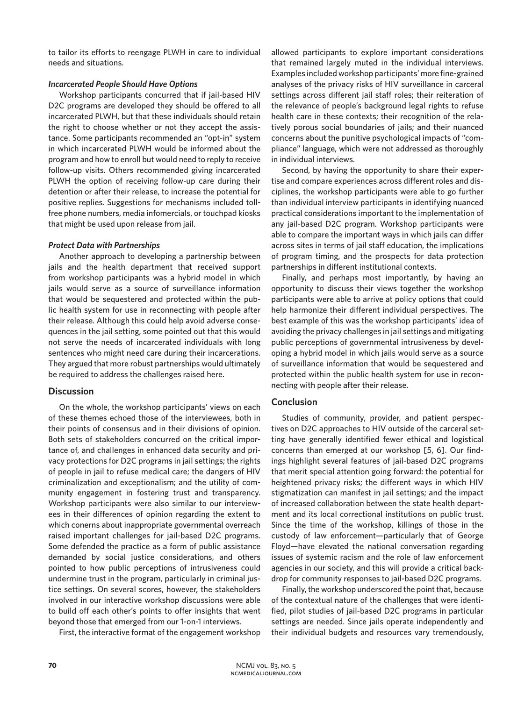to tailor its efforts to reengage PLWH in care to individual needs and situations.

### *Incarcerated People Should Have Options*

Workshop participants concurred that if jail-based HIV D2C programs are developed they should be offered to all incarcerated PLWH, but that these individuals should retain the right to choose whether or not they accept the assistance. Some participants recommended an "opt-in" system in which incarcerated PLWH would be informed about the program and how to enroll but would need to reply to receive follow-up visits. Others recommended giving incarcerated PLWH the option of receiving follow-up care during their detention or after their release, to increase the potential for positive replies. Suggestions for mechanisms included tollfree phone numbers, media infomercials, or touchpad kiosks that might be used upon release from jail.

## *Protect Data with Partnerships*

Another approach to developing a partnership between jails and the health department that received support from workshop participants was a hybrid model in which jails would serve as a source of surveillance information that would be sequestered and protected within the public health system for use in reconnecting with people after their release. Although this could help avoid adverse consequences in the jail setting, some pointed out that this would not serve the needs of incarcerated individuals with long sentences who might need care during their incarcerations. They argued that more robust partnerships would ultimately be required to address the challenges raised here.

## **Discussion**

On the whole, the workshop participants' views on each of these themes echoed those of the interviewees, both in their points of consensus and in their divisions of opinion. Both sets of stakeholders concurred on the critical importance of, and challenges in enhanced data security and privacy protections for D2C programs in jail settings; the rights of people in jail to refuse medical care; the dangers of HIV criminalization and exceptionalism; and the utility of community engagement in fostering trust and transparency. Workshop participants were also similar to our interviewees in their differences of opinion regarding the extent to which conerns about inappropriate governmental overreach raised important challenges for jail-based D2C programs. Some defended the practice as a form of public assistance demanded by social justice considerations, and others pointed to how public perceptions of intrusiveness could undermine trust in the program, particularly in criminal justice settings. On several scores, however, the stakeholders involved in our interactive workshop discussions were able to build off each other's points to offer insights that went beyond those that emerged from our 1-on-1 interviews.

First, the interactive format of the engagement workshop

allowed participants to explore important considerations that remained largely muted in the individual interviews. Examples included workshop participants' more fine-grained analyses of the privacy risks of HIV surveillance in carceral settings across different jail staff roles; their reiteration of the relevance of people's background legal rights to refuse health care in these contexts; their recognition of the relatively porous social boundaries of jails; and their nuanced concerns about the punitive psychological impacts of "compliance" language, which were not addressed as thoroughly in individual interviews.

Second, by having the opportunity to share their expertise and compare experiences across different roles and disciplines, the workshop participants were able to go further than individual interview participants in identifying nuanced practical considerations important to the implementation of any jail-based D2C program. Workshop participants were able to compare the important ways in which jails can differ across sites in terms of jail staff education, the implications of program timing, and the prospects for data protection partnerships in different institutional contexts.

Finally, and perhaps most importantly, by having an opportunity to discuss their views together the workshop participants were able to arrive at policy options that could help harmonize their different individual perspectives. The best example of this was the workshop participants' idea of avoiding the privacy challenges in jail settings and mitigating public perceptions of governmental intrusiveness by developing a hybrid model in which jails would serve as a source of surveillance information that would be sequestered and protected within the public health system for use in reconnecting with people after their release.

## **Conclusion**

Studies of community, provider, and patient perspectives on D2C approaches to HIV outside of the carceral setting have generally identified fewer ethical and logistical concerns than emerged at our workshop [5, 6]. Our findings highlight several features of jail-based D2C programs that merit special attention going forward: the potential for heightened privacy risks; the different ways in which HIV stigmatization can manifest in jail settings; and the impact of increased collaboration between the state health department and its local correctional institutions on public trust. Since the time of the workshop, killings of those in the custody of law enforcement—particularly that of George Floyd—have elevated the national conversation regarding issues of systemic racism and the role of law enforcement agencies in our society, and this will provide a critical backdrop for community responses to jail-based D2C programs.

Finally, the workshop underscored the point that, because of the contextual nature of the challenges that were identified, pilot studies of jail-based D2C programs in particular settings are needed. Since jails operate independently and their individual budgets and resources vary tremendously,